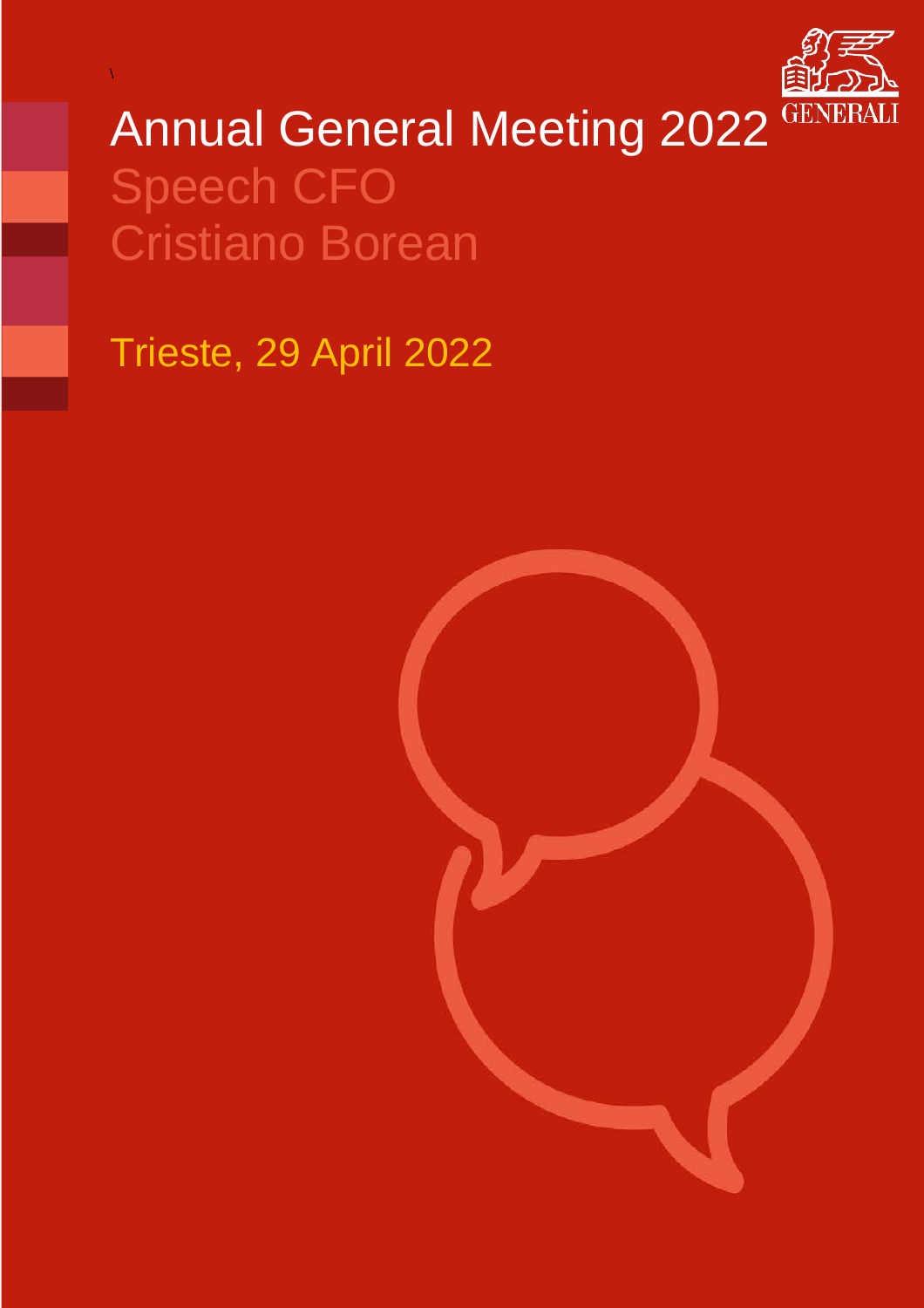

# Annual General Meeting 2022<sup>GENERA</sup> Speech CFO Cristiano Borean

Trieste, 29 April 2022

\

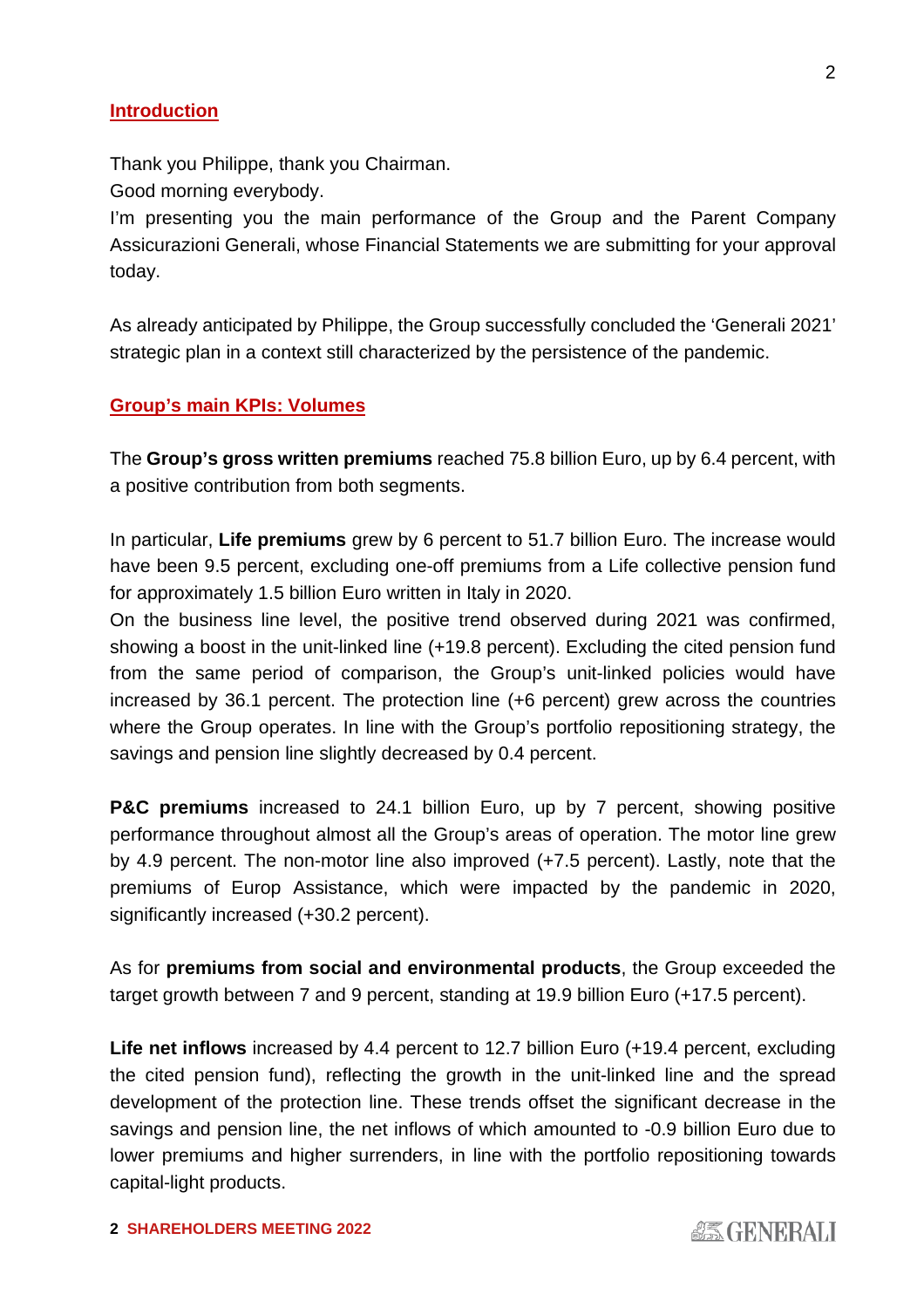#### **Introduction**

Thank you Philippe, thank you Chairman.

Good morning everybody.

I'm presenting you the main performance of the Group and the Parent Company Assicurazioni Generali, whose Financial Statements we are submitting for your approval today.

As already anticipated by Philippe, the Group successfully concluded the 'Generali 2021' strategic plan in a context still characterized by the persistence of the pandemic.

### **Group's main KPIs: Volumes**

The **Group's gross written premiums** reached 75.8 billion Euro, up by 6.4 percent, with a positive contribution from both segments.

In particular, **Life premiums** grew by 6 percent to 51.7 billion Euro. The increase would have been 9.5 percent, excluding one-off premiums from a Life collective pension fund for approximately 1.5 billion Euro written in Italy in 2020.

On the business line level, the positive trend observed during 2021 was confirmed, showing a boost in the unit-linked line (+19.8 percent). Excluding the cited pension fund from the same period of comparison, the Group's unit-linked policies would have increased by 36.1 percent. The protection line (+6 percent) grew across the countries where the Group operates. In line with the Group's portfolio repositioning strategy, the savings and pension line slightly decreased by 0.4 percent.

**P&C premiums** increased to 24.1 billion Euro, up by 7 percent, showing positive performance throughout almost all the Group's areas of operation. The motor line grew by 4.9 percent. The non-motor line also improved (+7.5 percent). Lastly, note that the premiums of Europ Assistance, which were impacted by the pandemic in 2020, significantly increased (+30.2 percent).

As for **premiums from social and environmental products**, the Group exceeded the target growth between 7 and 9 percent, standing at 19.9 billion Euro (+17.5 percent).

**Life net inflows** increased by 4.4 percent to 12.7 billion Euro (+19.4 percent, excluding the cited pension fund), reflecting the growth in the unit-linked line and the spread development of the protection line. These trends offset the significant decrease in the savings and pension line, the net inflows of which amounted to -0.9 billion Euro due to lower premiums and higher surrenders, in line with the portfolio repositioning towards capital-light products.

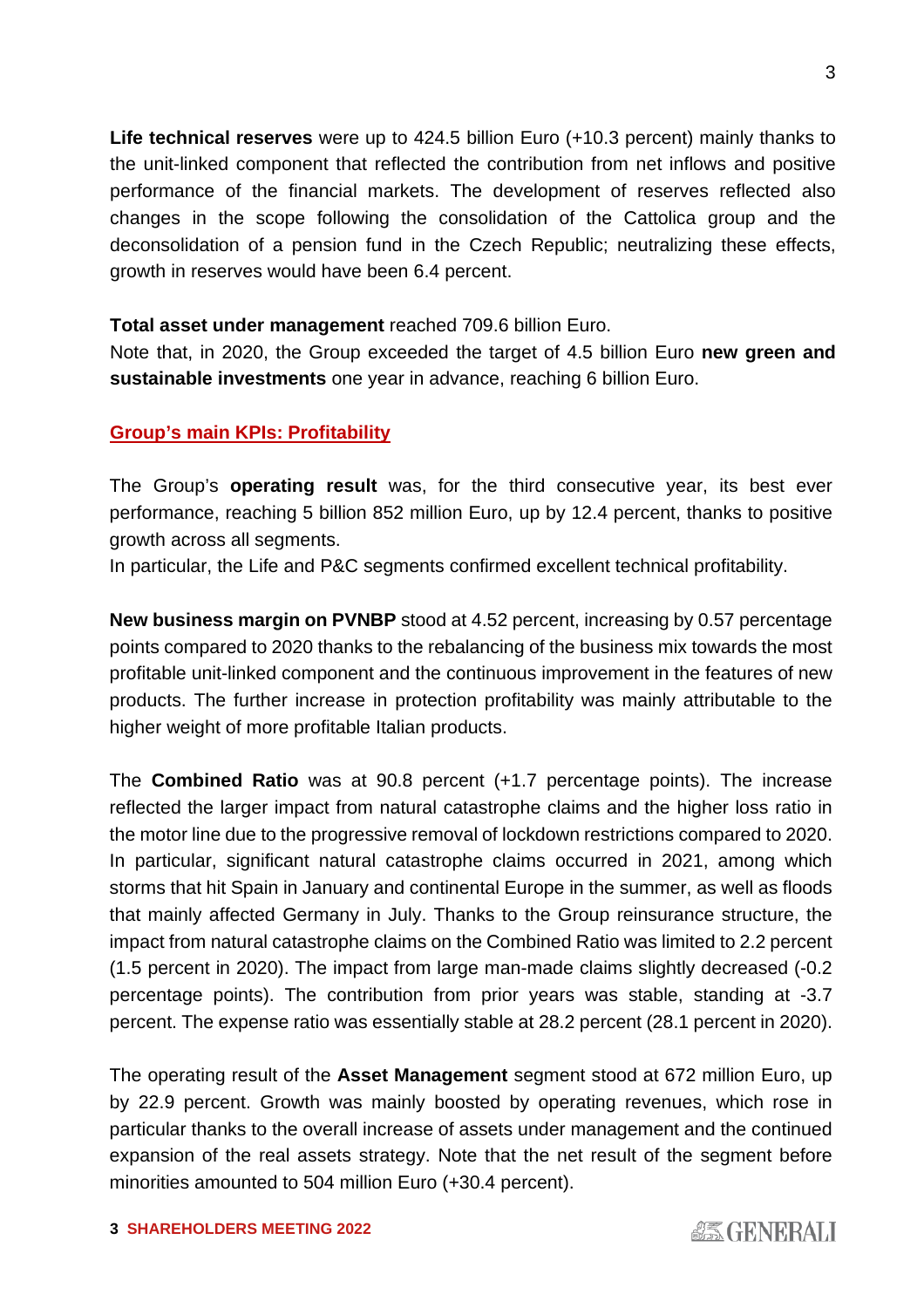**Life technical reserves** were up to 424.5 billion Euro (+10.3 percent) mainly thanks to the unit-linked component that reflected the contribution from net inflows and positive performance of the financial markets. The development of reserves reflected also changes in the scope following the consolidation of the Cattolica group and the deconsolidation of a pension fund in the Czech Republic; neutralizing these effects, growth in reserves would have been 6.4 percent.

#### **Total asset under management** reached 709.6 billion Euro.

Note that, in 2020, the Group exceeded the target of 4.5 billion Euro **new green and sustainable investments** one year in advance, reaching 6 billion Euro.

## **Group's main KPIs: Profitability**

The Group's **operating result** was, for the third consecutive year, its best ever performance, reaching 5 billion 852 million Euro, up by 12.4 percent, thanks to positive growth across all segments.

In particular, the Life and P&C segments confirmed excellent technical profitability.

**New business margin on PVNBP** stood at 4.52 percent, increasing by 0.57 percentage points compared to 2020 thanks to the rebalancing of the business mix towards the most profitable unit-linked component and the continuous improvement in the features of new products. The further increase in protection profitability was mainly attributable to the higher weight of more profitable Italian products.

The **Combined Ratio** was at 90.8 percent (+1.7 percentage points). The increase reflected the larger impact from natural catastrophe claims and the higher loss ratio in the motor line due to the progressive removal of lockdown restrictions compared to 2020. In particular, significant natural catastrophe claims occurred in 2021, among which storms that hit Spain in January and continental Europe in the summer, as well as floods that mainly affected Germany in July. Thanks to the Group reinsurance structure, the impact from natural catastrophe claims on the Combined Ratio was limited to 2.2 percent (1.5 percent in 2020). The impact from large man-made claims slightly decreased (-0.2 percentage points). The contribution from prior years was stable, standing at -3.7 percent. The expense ratio was essentially stable at 28.2 percent (28.1 percent in 2020).

The operating result of the **Asset Management** segment stood at 672 million Euro, up by 22.9 percent. Growth was mainly boosted by operating revenues, which rose in particular thanks to the overall increase of assets under management and the continued expansion of the real assets strategy. Note that the net result of the segment before minorities amounted to 504 million Euro (+30.4 percent).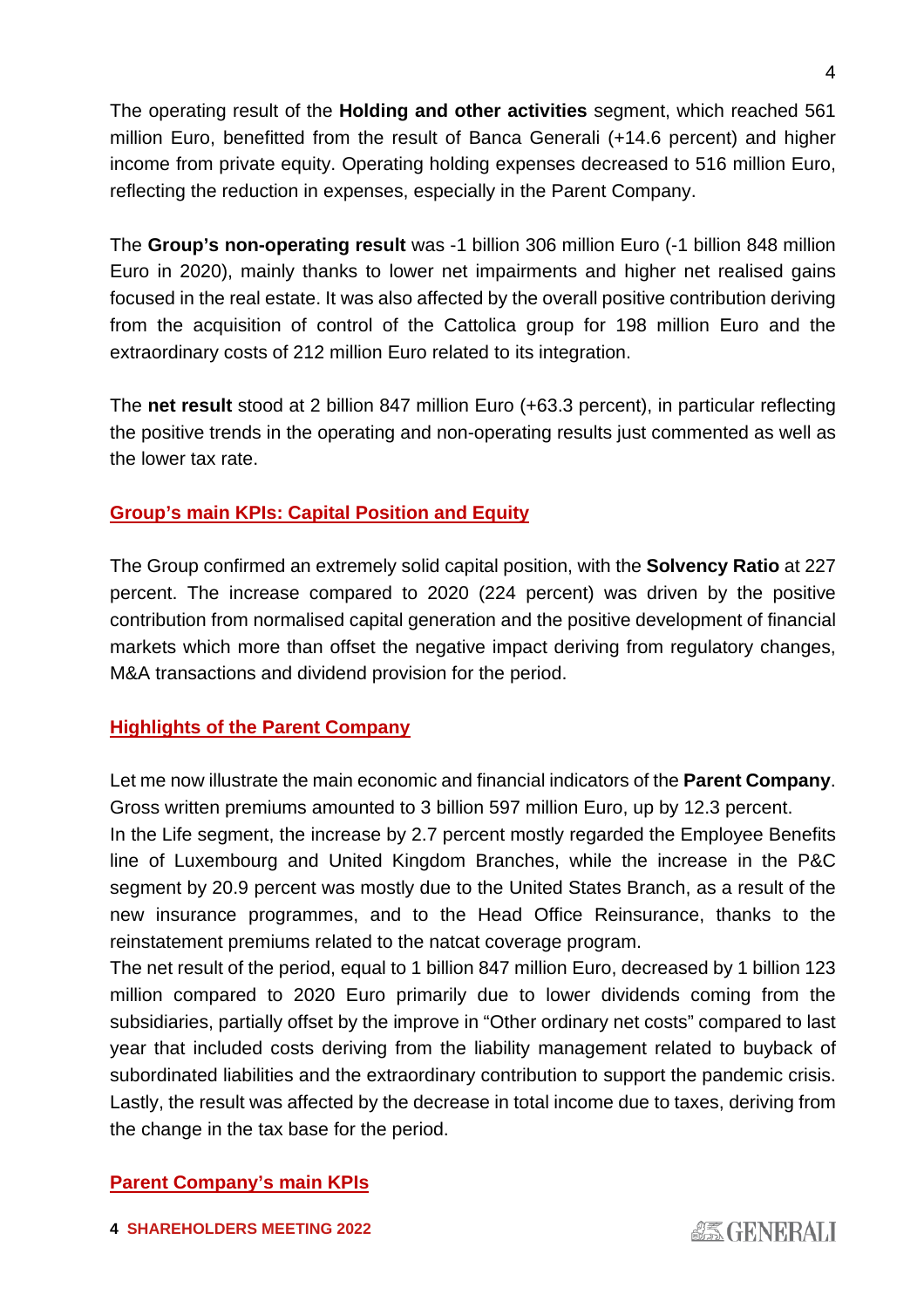The operating result of the **Holding and other activities** segment, which reached 561 million Euro, benefitted from the result of Banca Generali (+14.6 percent) and higher income from private equity. Operating holding expenses decreased to 516 million Euro, reflecting the reduction in expenses, especially in the Parent Company.

The **Group's non-operating result** was -1 billion 306 million Euro (-1 billion 848 million Euro in 2020), mainly thanks to lower net impairments and higher net realised gains focused in the real estate. It was also affected by the overall positive contribution deriving from the acquisition of control of the Cattolica group for 198 million Euro and the extraordinary costs of 212 million Euro related to its integration.

The **net result** stood at 2 billion 847 million Euro (+63.3 percent), in particular reflecting the positive trends in the operating and non-operating results just commented as well as the lower tax rate.

# **Group's main KPIs: Capital Position and Equity**

The Group confirmed an extremely solid capital position, with the **Solvency Ratio** at 227 percent. The increase compared to 2020 (224 percent) was driven by the positive contribution from normalised capital generation and the positive development of financial markets which more than offset the negative impact deriving from regulatory changes, M&A transactions and dividend provision for the period.

# **Highlights of the Parent Company**

Let me now illustrate the main economic and financial indicators of the **Parent Company**. Gross written premiums amounted to 3 billion 597 million Euro, up by 12.3 percent.

In the Life segment, the increase by 2.7 percent mostly regarded the Employee Benefits line of Luxembourg and United Kingdom Branches, while the increase in the P&C segment by 20.9 percent was mostly due to the United States Branch, as a result of the new insurance programmes, and to the Head Office Reinsurance, thanks to the reinstatement premiums related to the natcat coverage program.

The net result of the period, equal to 1 billion 847 million Euro, decreased by 1 billion 123 million compared to 2020 Euro primarily due to lower dividends coming from the subsidiaries, partially offset by the improve in "Other ordinary net costs" compared to last year that included costs deriving from the liability management related to buyback of subordinated liabilities and the extraordinary contribution to support the pandemic crisis. Lastly, the result was affected by the decrease in total income due to taxes, deriving from the change in the tax base for the period.

# **Parent Company's main KPIs**